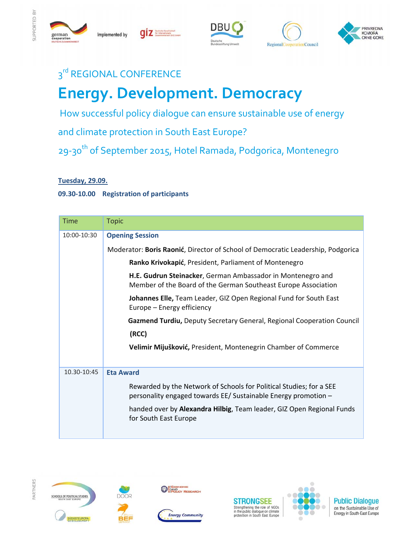

Implemented by

qiz







## 3<sup>rd</sup> REGIONAL CONFERENCE

# **Energy. Development. Democracy**

How successful policy dialogue can ensure sustainable use of energy

and climate protection in South East Europe?

29-30<sup>th</sup> of September 2015, Hotel Ramada, Podgorica, Montenegro

#### **Tuesday, 29.09.**

#### **09.30‐10.00 Registration of participants**

| <b>Time</b> | <b>Topic</b>                                                                                                                          |
|-------------|---------------------------------------------------------------------------------------------------------------------------------------|
| 10:00-10:30 | <b>Opening Session</b>                                                                                                                |
|             | Moderator: Boris Raonić, Director of School of Democratic Leadership, Podgorica                                                       |
|             | Ranko Krivokapić, President, Parliament of Montenegro                                                                                 |
|             | H.E. Gudrun Steinacker, German Ambassador in Montenegro and<br>Member of the Board of the German Southeast Europe Association         |
|             | Johannes Elle, Team Leader, GIZ Open Regional Fund for South East<br>Europe – Energy efficiency                                       |
|             | Gazmend Turdiu, Deputy Secretary General, Regional Cooperation Council                                                                |
|             | (RCC)                                                                                                                                 |
|             | Velimir Mijušković, President, Montenegrin Chamber of Commerce                                                                        |
| 10.30-10:45 | <b>Eta Award</b>                                                                                                                      |
|             | Rewarded by the Network of Schools for Political Studies; for a SEE<br>personality engaged towards EE/ Sustainable Energy promotion - |
|             | handed over by Alexandra Hilbig, Team leader, GIZ Open Regional Funds<br>for South East Europe                                        |
|             |                                                                                                                                       |









**ONECONOMIC** 





**Public Dialogue** on the Sustainable Use of Energy in South-East Europe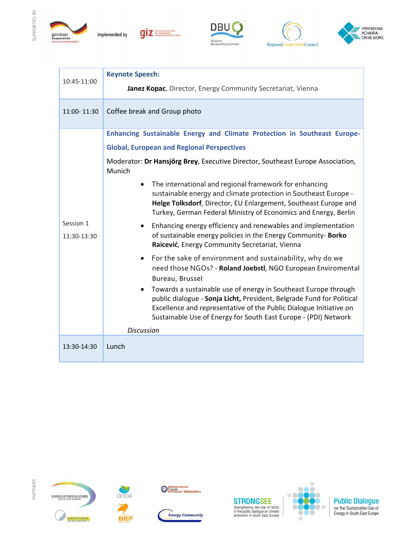

SUPPORTED BY



Implemented by

giz







| 10:45-11:00              | <b>Keynote Speech:</b>                                                                                                                                                                                                                                                                                                                                                                                                                                                           |
|--------------------------|----------------------------------------------------------------------------------------------------------------------------------------------------------------------------------------------------------------------------------------------------------------------------------------------------------------------------------------------------------------------------------------------------------------------------------------------------------------------------------|
|                          | Janez Kopac, Director, Energy Community Secretariat, Vienna                                                                                                                                                                                                                                                                                                                                                                                                                      |
| 11:00-11:30              | Coffee break and Group photo                                                                                                                                                                                                                                                                                                                                                                                                                                                     |
| Session 1<br>11:30-13:30 | Enhancing Sustainable Energy and Climate Protection in Southeast Europe-                                                                                                                                                                                                                                                                                                                                                                                                         |
|                          | <b>Global, European and Regional Perspectives</b>                                                                                                                                                                                                                                                                                                                                                                                                                                |
|                          | Moderator: Dr Hansjörg Brey, Executive Director, Southeast Europe Association,<br>Munich                                                                                                                                                                                                                                                                                                                                                                                         |
|                          | The international and regional framework for enhancing<br>$\bullet$<br>sustainable energy and climate protection in Southeast Europe -<br>Helge Tolksdorf, Director, EU Enlargement, Southeast Europe and<br>Turkey, German Federal Ministry of Economics and Energy, Berlin                                                                                                                                                                                                     |
|                          | Enhancing energy efficiency and renewables and implementation<br>$\bullet$<br>of sustainable energy policies in the Energy Community- Borko<br>Raicević, Energy Community Secretariat, Vienna                                                                                                                                                                                                                                                                                    |
|                          | For the sake of environment and sustainability, why do we<br>$\bullet$<br>need those NGOs? - Roland Joebstl, NGO European Enviromental<br>Bureau, Brussel<br>Towards a sustainable use of energy in Southeast Europe through<br>$\bullet$<br>public dialogue - Sonja Licht, President, Belgrade Fund for Political<br>Excellence and representative of the Public Dialogue Initiative on<br>Sustainable Use of Energy for South East Europe - (PDI) Network<br><b>Discussion</b> |
| 13:30-14:30              | Lunch                                                                                                                                                                                                                                                                                                                                                                                                                                                                            |
|                          |                                                                                                                                                                                                                                                                                                                                                                                                                                                                                  |

PARTNERS









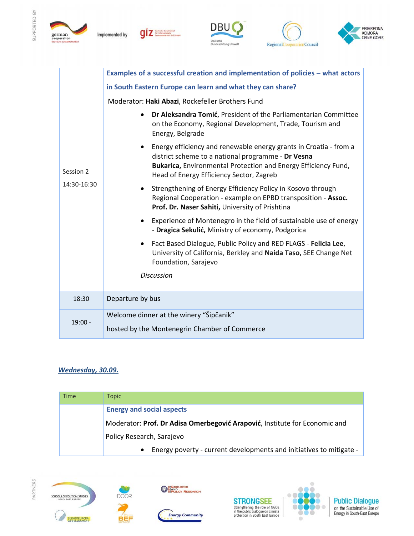

Implemented by









| Session 2<br>14:30-16:30 | Examples of a successful creation and implementation of policies - what actors                                                                                                                                                                     |
|--------------------------|----------------------------------------------------------------------------------------------------------------------------------------------------------------------------------------------------------------------------------------------------|
|                          | in South Eastern Europe can learn and what they can share?                                                                                                                                                                                         |
|                          | Moderator: Haki Abazi, Rockefeller Brothers Fund                                                                                                                                                                                                   |
|                          | Dr Aleksandra Tomić, President of the Parliamentarian Committee<br>$\bullet$<br>on the Economy, Regional Development, Trade, Tourism and<br>Energy, Belgrade                                                                                       |
|                          | Energy efficiency and renewable energy grants in Croatia - from a<br>$\bullet$<br>district scheme to a national programme - Dr Vesna<br>Bukarica, Environmental Protection and Energy Efficiency Fund,<br>Head of Energy Efficiency Sector, Zagreb |
|                          | Strengthening of Energy Efficiency Policy in Kosovo through<br>$\bullet$<br>Regional Cooperation - example on EPBD transposition - Assoc.<br>Prof. Dr. Naser Sahiti, University of Prishtina                                                       |
|                          | Experience of Montenegro in the field of sustainable use of energy<br>$\bullet$<br>- Dragica Sekulić, Ministry of economy, Podgorica                                                                                                               |
|                          | Fact Based Dialogue, Public Policy and RED FLAGS - Felicia Lee,<br>$\bullet$<br>University of California, Berkley and Naida Taso, SEE Change Net<br>Foundation, Sarajevo                                                                           |
|                          | <b>Discussion</b>                                                                                                                                                                                                                                  |
| 18:30                    | Departure by bus                                                                                                                                                                                                                                   |
| $19:00 -$                | Welcome dinner at the winery "Šipčanik"<br>hosted by the Montenegrin Chamber of Commerce                                                                                                                                                           |

### *Wednesday, 30.09.*

| Time | <b>Topic</b>                                                               |
|------|----------------------------------------------------------------------------|
|      | <b>Energy and social aspects</b>                                           |
|      | Moderator: Prof. Dr Adisa Omerbegović Arapović, Institute for Economic and |
|      | Policy Research, Sarajevo                                                  |
|      | • Energy poverty - current developments and initiatives to mitigate -      |







**DOOR** 

**BEF** 







**Public Dialogue**<br>on the Sustainable Use of<br>Energy in South-East Europe